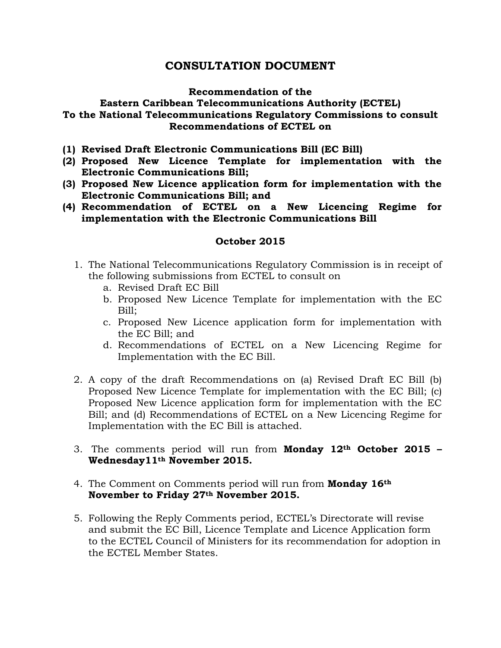# **CONSULTATION DOCUMENT**

### **Recommendation of the**

## **Eastern Caribbean Telecommunications Authority (ECTEL) To the National Telecommunications Regulatory Commissions to consult Recommendations of ECTEL on**

- **(1) Revised Draft Electronic Communications Bill (EC Bill)**
- **(2) Proposed New Licence Template for implementation with the Electronic Communications Bill;**
- **(3) Proposed New Licence application form for implementation with the Electronic Communications Bill; and**
- **(4) Recommendation of ECTEL on a New Licencing Regime for implementation with the Electronic Communications Bill**

### **October 2015**

- 1. The National Telecommunications Regulatory Commission is in receipt of the following submissions from ECTEL to consult on
	- a. Revised Draft EC Bill
	- b. Proposed New Licence Template for implementation with the EC Bill;
	- c. Proposed New Licence application form for implementation with the EC Bill; and
	- d. Recommendations of ECTEL on a New Licencing Regime for Implementation with the EC Bill.
- 2. A copy of the draft Recommendations on (a) Revised Draft EC Bill (b) Proposed New Licence Template for implementation with the EC Bill; (c) Proposed New Licence application form for implementation with the EC Bill; and (d) Recommendations of ECTEL on a New Licencing Regime for Implementation with the EC Bill is attached.
- 3. The comments period will run from **Monday 12th October 2015 – Wednesday11th November 2015.**
- 4. The Comment on Comments period will run from **Monday 16th November to Friday 27th November 2015.**
- 5. Following the Reply Comments period, ECTEL's Directorate will revise and submit the EC Bill, Licence Template and Licence Application form to the ECTEL Council of Ministers for its recommendation for adoption in the ECTEL Member States.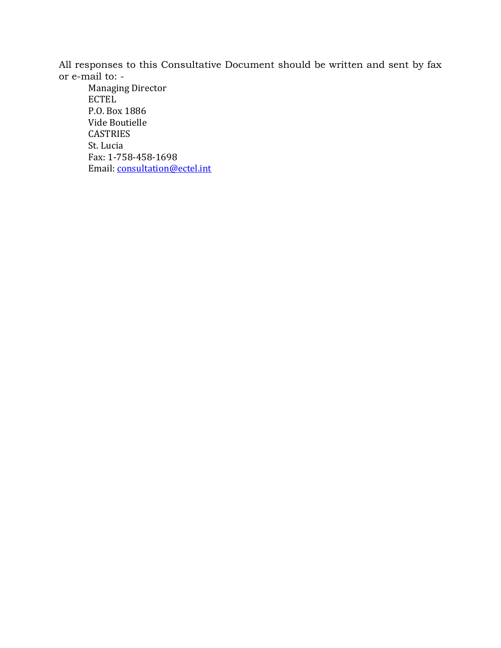All responses to this Consultative Document should be written and sent by fax or e-mail to: -

Managing Director ECTEL P.O. Box 1886 Vide Boutielle CASTRIES St. Lucia Fax: 1-758-458-1698 Email: [consultation@ectel.int](mailto:consultation@ectel.int)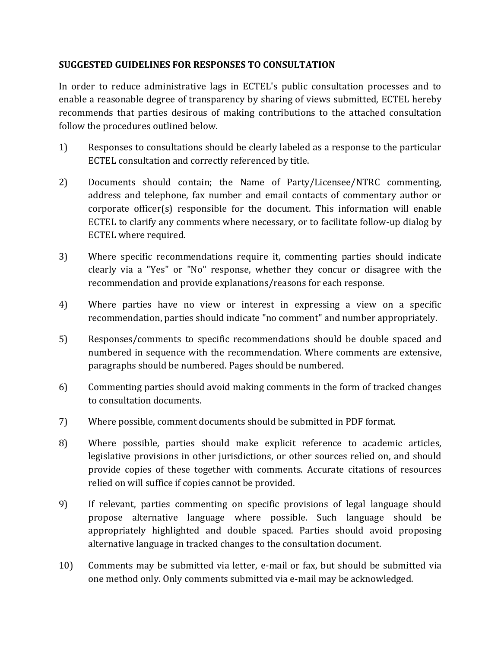# **SUGGESTED GUIDELINES FOR RESPONSES TO CONSULTATION**

In order to reduce administrative lags in ECTEL's public consultation processes and to enable a reasonable degree of transparency by sharing of views submitted, ECTEL hereby recommends that parties desirous of making contributions to the attached consultation follow the procedures outlined below.

- 1) Responses to consultations should be clearly labeled as a response to the particular ECTEL consultation and correctly referenced by title.
- 2) Documents should contain; the Name of Party/Licensee/NTRC commenting, address and telephone, fax number and email contacts of commentary author or corporate officer(s) responsible for the document. This information will enable ECTEL to clarify any comments where necessary, or to facilitate follow-up dialog by ECTEL where required.
- 3) Where specific recommendations require it, commenting parties should indicate clearly via a "Yes" or "No" response, whether they concur or disagree with the recommendation and provide explanations/reasons for each response.
- 4) Where parties have no view or interest in expressing a view on a specific recommendation, parties should indicate "no comment" and number appropriately.
- 5) Responses/comments to specific recommendations should be double spaced and numbered in sequence with the recommendation. Where comments are extensive, paragraphs should be numbered. Pages should be numbered.
- 6) Commenting parties should avoid making comments in the form of tracked changes to consultation documents.
- 7) Where possible, comment documents should be submitted in PDF format.
- 8) Where possible, parties should make explicit reference to academic articles, legislative provisions in other jurisdictions, or other sources relied on, and should provide copies of these together with comments. Accurate citations of resources relied on will suffice if copies cannot be provided.
- 9) If relevant, parties commenting on specific provisions of legal language should propose alternative language where possible. Such language should be appropriately highlighted and double spaced. Parties should avoid proposing alternative language in tracked changes to the consultation document.
- 10) Comments may be submitted via letter, e-mail or fax, but should be submitted via one method only. Only comments submitted via e-mail may be acknowledged.